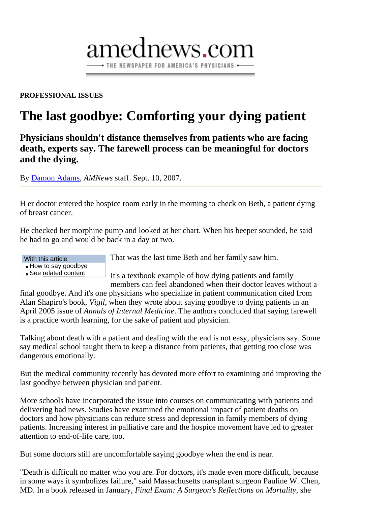#### **PROFESSIONAL ISSUES**

# **The last goodbye: Comforting your dying patient**

amednews.com

- THE NEWSPAPER FOR AMERICA'S PHYSICIANS -

**Physicians shouldn't distance themselves from patients who are facing death, experts say. The farewell process can be meaningful for doctors and the dying.** 

By Damon Adams, *AMNews* staff. Sept. 10, 2007.

H er doctor entered the hospice room early in the morning to check on Beth, a patient dying of breast cancer.

He checked her morphine pump and looked at her chart. When his beeper sounded, he said he had to go and would be back in a day or two.

| With this article    |
|----------------------|
| - How to say goodbye |
| See related content  |

That was the last time Beth and her family saw him.

It's a textbook example of how dying patients and family members can feel abandoned when their doctor leaves without a

final goodbye. And it's one physicians who specialize in patient communication cited from Alan Shapiro's book, *Vigil*, when they wrote about saying goodbye to dying patients in an April 2005 issue of *Annals of Internal Medicine*. The authors concluded that saying farewell is a practice worth learning, for the sake of patient and physician.

Talking about death with a patient and dealing with the end is not easy, physicians say. Some say medical school taught them to keep a distance from patients, that getting too close was dangerous emotionally.

But the medical community recently has devoted more effort to examining and improving the last goodbye between physician and patient.

More schools have incorporated the issue into courses on communicating with patients and delivering bad news. Studies have examined the emotional impact of patient deaths on doctors and how physicians can reduce stress and depression in family members of dying patients. Increasing interest in palliative care and the hospice movement have led to greater attention to end-of-life care, too.

But some doctors still are uncomfortable saying goodbye when the end is near.

"Death is difficult no matter who you are. For doctors, it's made even more difficult, because in some ways it symbolizes failure," said Massachusetts transplant surgeon Pauline W. Chen, MD. In a book released in January, *Final Exam: A Surgeon's Reflections on Mortality*, she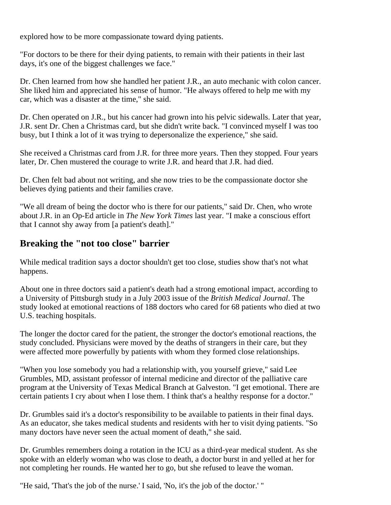explored how to be more compassionate toward dying patients.

"For doctors to be there for their dying patients, to remain with their patients in their last days, it's one of the biggest challenges we face."

Dr. Chen learned from how she handled her patient J.R., an auto mechanic with colon cancer. She liked him and appreciated his sense of humor. "He always offered to help me with my car, which was a disaster at the time," she said.

Dr. Chen operated on J.R., but his cancer had grown into his pelvic sidewalls. Later that year, J.R. sent Dr. Chen a Christmas card, but she didn't write back. "I convinced myself I was too busy, but I think a lot of it was trying to depersonalize the experience," she said.

She received a Christmas card from J.R. for three more years. Then they stopped. Four years later, Dr. Chen mustered the courage to write J.R. and heard that J.R. had died.

Dr. Chen felt bad about not writing, and she now tries to be the compassionate doctor she believes dying patients and their families crave.

"We all dream of being the doctor who is there for our patients," said Dr. Chen, who wrote about J.R. in an Op-Ed article in *The New York Times* last year. "I make a conscious effort that I cannot shy away from [a patient's death]."

## **Breaking the "not too close" barrier**

While medical tradition says a doctor shouldn't get too close, studies show that's not what happens.

About one in three doctors said a patient's death had a strong emotional impact, according to a University of Pittsburgh study in a July 2003 issue of the *British Medical Journal*. The study looked at emotional reactions of 188 doctors who cared for 68 patients who died at two U.S. teaching hospitals.

The longer the doctor cared for the patient, the stronger the doctor's emotional reactions, the study concluded. Physicians were moved by the deaths of strangers in their care, but they were affected more powerfully by patients with whom they formed close relationships.

"When you lose somebody you had a relationship with, you yourself grieve," said Lee Grumbles, MD, assistant professor of internal medicine and director of the palliative care program at the University of Texas Medical Branch at Galveston. "I get emotional. There are certain patients I cry about when I lose them. I think that's a healthy response for a doctor."

Dr. Grumbles said it's a doctor's responsibility to be available to patients in their final days. As an educator, she takes medical students and residents with her to visit dying patients. "So many doctors have never seen the actual moment of death," she said.

Dr. Grumbles remembers doing a rotation in the ICU as a third-year medical student. As she spoke with an elderly woman who was close to death, a doctor burst in and yelled at her for not completing her rounds. He wanted her to go, but she refused to leave the woman.

"He said, 'That's the job of the nurse.' I said, 'No, it's the job of the doctor.' "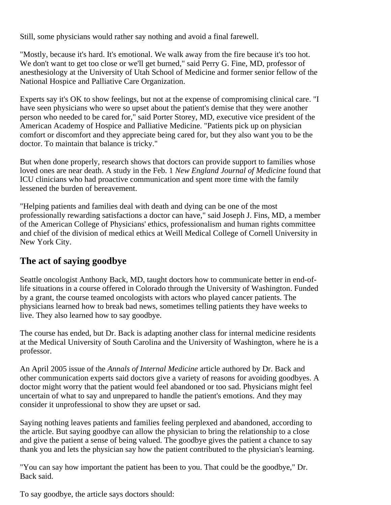Still, some physicians would rather say nothing and avoid a final farewell.

"Mostly, because it's hard. It's emotional. We walk away from the fire because it's too hot. We don't want to get too close or we'll get burned," said Perry G. Fine, MD, professor of anesthesiology at the University of Utah School of Medicine and former senior fellow of the National Hospice and Palliative Care Organization.

Experts say it's OK to show feelings, but not at the expense of compromising clinical care. "I have seen physicians who were so upset about the patient's demise that they were another person who needed to be cared for," said Porter Storey, MD, executive vice president of the American Academy of Hospice and Palliative Medicine. "Patients pick up on physician comfort or discomfort and they appreciate being cared for, but they also want you to be the doctor. To maintain that balance is tricky."

But when done properly, research shows that doctors can provide support to families whose loved ones are near death. A study in the Feb. 1 *New England Journal of Medicine* found that ICU clinicians who had proactive communication and spent more time with the family lessened the burden of bereavement.

"Helping patients and families deal with death and dying can be one of the most professionally rewarding satisfactions a doctor can have," said Joseph J. Fins, MD, a member of the American College of Physicians' ethics, professionalism and human rights committee and chief of the division of medical ethics at Weill Medical College of Cornell University in New York City.

## **The act of saying goodbye**

Seattle oncologist Anthony Back, MD, taught doctors how to communicate better in end-oflife situations in a course offered in Colorado through the University of Washington. Funded by a grant, the course teamed oncologists with actors who played cancer patients. The physicians learned how to break bad news, sometimes telling patients they have weeks to live. They also learned how to say goodbye.

The course has ended, but Dr. Back is adapting another class for internal medicine residents at the Medical University of South Carolina and the University of Washington, where he is a professor.

An April 2005 issue of the *Annals of Internal Medicine* article authored by Dr. Back and other communication experts said doctors give a variety of reasons for avoiding goodbyes. A doctor might worry that the patient would feel abandoned or too sad. Physicians might feel uncertain of what to say and unprepared to handle the patient's emotions. And they may consider it unprofessional to show they are upset or sad.

Saying nothing leaves patients and families feeling perplexed and abandoned, according to the article. But saying goodbye can allow the physician to bring the relationship to a close and give the patient a sense of being valued. The goodbye gives the patient a chance to say thank you and lets the physician say how the patient contributed to the physician's learning.

"You can say how important the patient has been to you. That could be the goodbye," Dr. Back said.

To say goodbye, the article says doctors should: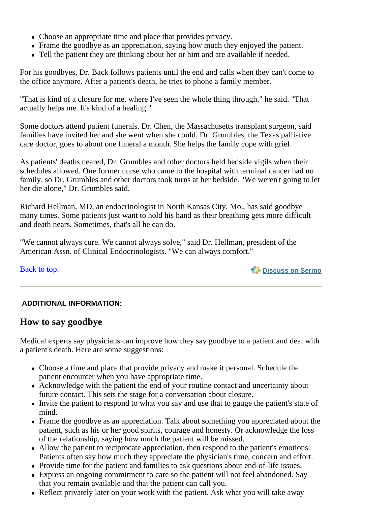- Choose an appropriate time and place that provides privacy.
- Frame the goodbye as an appreciation, saying how much they enjoyed the patient.
- Tell the patient they are thinking about her or him and are available if needed.

For his goodbyes, Dr. Back follows patients until the end and calls when they can't come to the office anymore. After a patient's death, he tries to phone a family member.

"That is kind of a closure for me, where I've seen the whole thing through," he said. "That actually helps me. It's kind of a healing."

Some doctors attend patient funerals. Dr. Chen, the Massachusetts transplant surgeon, said families have invited her and she went when she could. Dr. Grumbles, the Texas palliative care doctor, goes to about one funeral a month. She helps the family cope with grief.

As patients' deaths neared, Dr. Grumbles and other doctors held bedside vigils when their schedules allowed. One former nurse who came to the hospital with terminal cancer had no family, so Dr. Grumbles and other doctors took turns at her bedside. "We weren't going to let her die alone," Dr. Grumbles said.

Richard Hellman, MD, an endocrinologist in North Kansas City, Mo., has said goodbye many times. Some patients just want to hold his hand as their breathing gets more difficult and death nears. Sometimes, that's all he can do.

"We cannot always cure. We cannot always solve," said Dr. Hellman, president of the American Assn. of Clinical Endocrinologists. "We can always comfort."

Back to top.

**Discuss on Sermo**

### **ADDITIONAL INFORMATION:**

### **How to say goodbye**

Medical experts say physicians can improve how they say goodbye to a patient and deal with a patient's death. Here are some suggestions:

- Choose a time and place that provide privacy and make it personal. Schedule the patient encounter when you have appropriate time.
- Acknowledge with the patient the end of your routine contact and uncertainty about future contact. This sets the stage for a conversation about closure.
- Invite the patient to respond to what you say and use that to gauge the patient's state of mind.
- Frame the goodbye as an appreciation. Talk about something you appreciated about the patient, such as his or her good spirits, courage and honesty. Or acknowledge the loss of the relationship, saying how much the patient will be missed.
- Allow the patient to reciprocate appreciation, then respond to the patient's emotions. Patients often say how much they appreciate the physician's time, concern and effort.
- Provide time for the patient and families to ask questions about end-of-life issues.
- Express an ongoing commitment to care so the patient will not feel abandoned. Say that you remain available and that the patient can call you.
- Reflect privately later on your work with the patient. Ask what you will take away